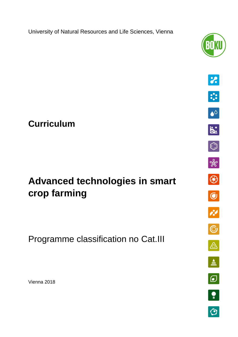University of Natural Resources and Life Sciences, Vienna



# **Curriculum**

# **Advanced technologies in smart crop farming**

Programme classification no Cat.III

Vienna 2018

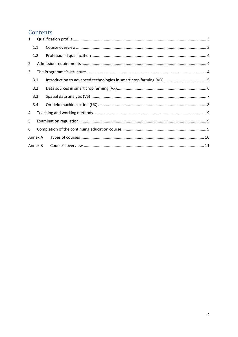# Contents

| $\mathbf{1}$ |     |  |  |  |
|--------------|-----|--|--|--|
|              | 1.1 |  |  |  |
|              | 1.2 |  |  |  |
| 2            |     |  |  |  |
| 3            |     |  |  |  |
|              | 3.1 |  |  |  |
|              | 3.2 |  |  |  |
|              | 3.3 |  |  |  |
|              | 3.4 |  |  |  |
| 4            |     |  |  |  |
| 5            |     |  |  |  |
| 6            |     |  |  |  |
| Annex A      |     |  |  |  |
| Annex B      |     |  |  |  |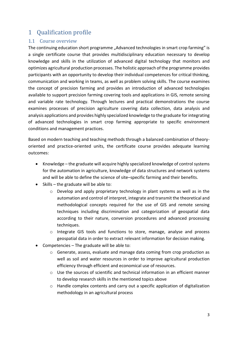# <span id="page-2-0"></span>1 Qualification profile

### <span id="page-2-1"></span>1.1 Course overview

The continuing education short programme "Advanced technologies in smart crop farming" is a single certificate course that provides multidisciplinary education necessary to develop knowledge and skills in the utilization of advanced digital technology that monitors and optimizes agricultural production processes. The holistic approach of the programme provides participants with an opportunity to develop their individual competences for critical thinking, communication and working in teams, as well as problem solving skills. The course examines the concept of precision farming and provides an introduction of advanced technologies available to support precision farming covering tools and applications in GIS, remote sensing and variable rate technology. Through lectures and practical demonstrations the course examines processes of precision agriculture covering data collection, data analysis and analysis applications and provides highly specialized knowledge to the graduate for integrating of advanced technologies in smart crop farming appropriate to specific environment conditions and management practices.

Based on modern teaching and teaching methods through a balanced combination of theoryoriented and practice-oriented units, the certificate course provides adequate learning outcomes:

- Knowledge the graduate will acquire highly specialized knowledge of control systems for the automation in agriculture, knowledge of data structures and network systems and will be able to define the science of site–specific farming and their benefits.
- $\bullet$  Skills the graduate will be able to:
	- o Develop and apply proprietary technology in plant systems as well as in the automation and control of interpret, integrate and transmit the theoretical and methodological concepts required for the use of GIS and remote sensing techniques including discrimination and categorization of geospatial data according to their nature, conversion procedures and advanced processing techniques.
	- o Integrate GIS tools and functions to store, manage, analyse and process geospatial data in order to extract relevant information for decision making.
- Competencies The graduate will be able to:
	- o Generate, assess, evaluate and manage data coming from crop production as well as soil and water resources in order to improve agricultural production efficiency through efficient and economical use of resources.
	- $\circ$  Use the sources of scientific and technical information in an efficient manner to develop research skills in the mentioned topics above
	- o Handle complex contents and carry out a specific application of digitalization methodology in an agricultural process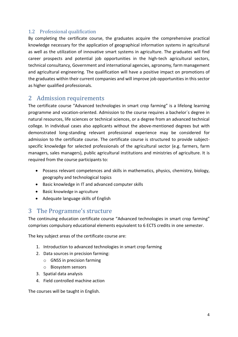### <span id="page-3-0"></span>1.2 Professional qualification

By completing the certificate course, the graduates acquire the comprehensive practical knowledge necessary for the application of geographical information systems in agricultural as well as the utilization of innovative smart systems in agriculture. The graduates will find career prospects and potential job opportunities in the high-tech agricultural sectors, technical consultancy, Government and international agencies, agronomy, farm management and agricultural engineering. The qualification will have a positive impact on promotions of the graduates within their current companies and will improve job opportunities in this sector as higher qualified professionals.

### <span id="page-3-1"></span>2 Admission requirements

The certificate course "Advanced technologies in smart crop farming" is a lifelong learning programme and vocation-oriented. Admission to the course requires a bachelor´s degree in natural resources, life sciences or technical sciences, or a degree from an advanced technical college. In individual cases also applicants without the above-mentioned degrees but with demonstrated long-standing relevant professional experience may be considered for admission to the certificate course. The certificate course is structured to provide subjectspecific knowledge for selected professionals of the agricultural sector (e.g. farmers, farm managers, sales managers), public agricultural institutions and ministries of agriculture. It is required from the course participants to:

- Possess relevant competences and skills in mathematics, physics, chemistry, biology, geography and technological topics
- Basic knowledge in IT and advanced computer skills
- Basic knowledge in agriculture
- Adequate language skills of English

### <span id="page-3-2"></span>3 The Programme's structure

The continuing education certificate course "Advanced technologies in smart crop farming" comprises compulsory educational elements equivalent to 6 ECTS credits in one semester.

The key subject areas of the certificate course are:

- 1. Introduction to advanced technologies in smart crop farming
- 2. Data sources in precision farming:
	- o GNSS in precision farming
	- o Biosystem sensors
- 3. Spatial data analysis
- 4. Field controlled machine action

The courses will be taught in English.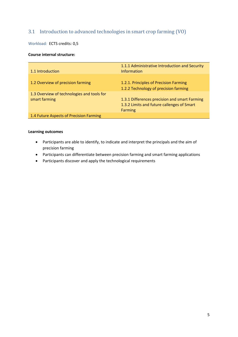### <span id="page-4-0"></span>3.1 Introduction to advanced technologies in smart crop farming (VO)

Workload: **ECTS credits: 0,5** 

#### **Course internal structure:**

| 1.1 Introduction                                            | 1.1.1 Administrative Introduction and Security<br><b>Information</b>                                          |  |
|-------------------------------------------------------------|---------------------------------------------------------------------------------------------------------------|--|
| 1.2 Overview of precision farming                           | 1.2.1. Principles of Precision Farming<br>1.2.2 Technology of precision farming                               |  |
| 1.3 Overview of technologies and tools for<br>smart farming | 1.3.1 Differences precision and smart Farming<br>1.3.2 Limits and future callenges of Smart<br><b>Farming</b> |  |
| 1.4 Future Aspects of Precision Farming                     |                                                                                                               |  |

- Participants are able to identify, to indicate and interpret the principals and the aim of precision farming
- Participants can differentiate between precision farming and smart farming applications
- Participants discover and apply the technological requirements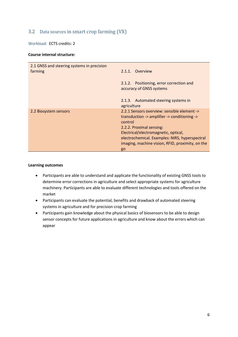### <span id="page-5-0"></span>3.2 Data sources in smart crop farming (VX)

Workload:ECTS credits: 2

#### **Course internal structure:**

| 2.1 GNSS and steering systems in precision<br>farming | 2.1.1. Overview                                                                                                                                                                                                                                                                        |
|-------------------------------------------------------|----------------------------------------------------------------------------------------------------------------------------------------------------------------------------------------------------------------------------------------------------------------------------------------|
|                                                       | 2.1.2. Positioning, error correction and<br>accuracy of GNSS systems                                                                                                                                                                                                                   |
|                                                       | 2.1.3. Automated steering systems in<br>agriculture                                                                                                                                                                                                                                    |
| 2.2 Biosystem sensors                                 | 2.2.1 Sensors overview: sensible element -><br>transduction -> amplifier -> conditioning -><br>control<br>2.2.2. Proximal sensing:<br>Electrical/electromagnetic, optical,<br>electrochemical. Examples: NIRS, hyperspectral<br>imaging, machine vision, RFID, proximity, on the<br>go |

- Participants are able to understand and applicate the functionality of existing GNSS tools to determine error corrections in agriculture and select appropriate systems for agriculture machinery. Participants are able to evaluate different technologies and tools offered on the market
- Participants can evaluate the potential, benefits and drawback of automated steering systems in agriculture and for precision crop farming
- Participants gain knowledge about the physical basics of biosensors to be able to design sensor concepts for future applications in agriculture and know about the errors which can appear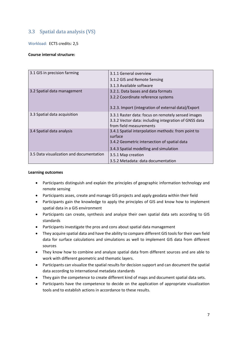### <span id="page-6-0"></span>3.3 Spatial data analysis (VS)

Workload: ECTS credits: 2,5

#### **Course internal structure:**

| 3.1 GIS in precision farming             | 3.1.1 General overview<br>3.1.2 GIS and Remote Sensing<br>3.1.3 Available software                                                                      |
|------------------------------------------|---------------------------------------------------------------------------------------------------------------------------------------------------------|
| 3.2 Spatial data management              | 3.2.1. Data bases and data formats<br>3.2.2 Coordinate reference systems<br>3.2.3. Import (integration of external data)/Export                         |
| 3.3 Spatial data acquisition             | 3.3.1 Raster data: focus on remotely sensed images<br>3.3.2 Vector data: including integration of GNSS data<br>from field measurements                  |
| 3.4 Spatial data analysis                | 3.4.1 Spatial interpolation methods: from point to<br>surface<br>3.4.2 Geometric intersection of spatial data<br>3.4.3 Spatial modelling and simulation |
| 3.5 Data visualization and documentation | 3.5.1 Map creation<br>3.5.2 Metadata: data documentation                                                                                                |

- Participants distinguish and explain the principles of geographic information technology and remote sensing
- Participants asses, create and manage GIS projects and apply geodata within their field
- Participants gain the knowledge to apply the principles of GIS and know how to implement spatial data in a GIS environment
- Participants can create, synthesis and analyze their own spatial data sets according to GIS standards
- Participants investigate the pros and cons about spatial data management
- They acquire spatial data and have the ability to compare different GIS tools for their own field data for surface calculations and simulations as well to implement GIS data from different sources
- They know how to combine and analyze spatial data from different sources and are able to work with different geometric and thematic layers.
- Participants can visualize the spatial results for decision support and can document the spatial data according to international metadata standards
- They gain the competence to create different kind of maps and document spatial data sets.
- Participants have the competence to decide on the application of appropriate visualization tools and to establish actions in accordance to these results.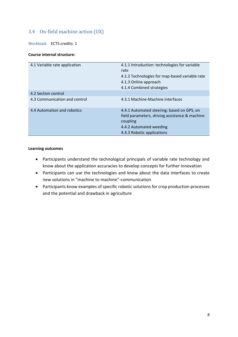### <span id="page-7-0"></span>3.4 On-field machine action (UX)

Workload: ECTS credits: 1

#### **Course internal structure:**

| 4.1 Variable rate application | 4.1.1 Introduction: technologies for variable<br>rate<br>4.1.2 Technologies for map-based variable rate<br>4.1.3 Online approach<br>4.1.4 Combined strategies     |
|-------------------------------|-------------------------------------------------------------------------------------------------------------------------------------------------------------------|
| 4.2 Section control           |                                                                                                                                                                   |
| 4.3 Communication and control | 4.3.1 Machine-Machine interfaces                                                                                                                                  |
| 4.4 Automation and robotics   | 4.4.1 Automated steering: based on GPS, on<br>field parameters, driving assistance & machine<br>coupling<br>4.4.2 Automated weeding<br>4.4.3 Robotic applications |

- Participants understand the technological principals of variable rate technology and know about the application accuracies to develop concepts for further innovation
- Participants can use the technologies and know about the data interfaces to create new solutions in "machine to machine"-communication
- Participants know examples of specific robotic solutions for crop production processes and the potential and drawback in agriculture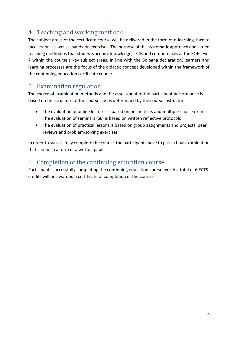# <span id="page-8-0"></span>4 Teaching and working methods

The subject areas of the certificate course will be delivered in the form of e-learning, face to face lessons as well as hands-on exercises. The purpose of this systematic approach and varied teaching methods is that students acquire knowledge, skills and competences at the EQF-level 7 within the course´s key subject areas. In line with the Bologna declaration, learners and learning processes are the focus of the didactic concept developed within the framework of the continuing education certificate course.

## <span id="page-8-1"></span>5 Examination regulation

The choice of examination methods and the assessment of the participant performance is based on the structure of the course and is determined by the course instructor.

- The evaluation of online lectures is based on online tests and multiple-choice exams. The evaluation of seminars (SE) is based on written reflective protocols
- The evaluation of practical lessons is based on group assignments and projects, peer reviews and problem-solving exercises

In order to successfully complete the course, the participants have to pass a final examination that can be in a form of a written paper.

# <span id="page-8-2"></span>6 Completion of the continuing education course

Participants successfully completing the continuing education course worth a total of 6 ECTS credits will be awarded a certificate of completion of the course.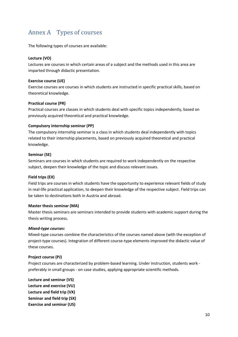# <span id="page-9-0"></span>Annex A Types of courses

The following types of courses are available:

#### **Lecture (VO)**

Lectures are courses in which certain areas of a subject and the methods used in this area are imparted through didactic presentation.

#### **Exercise course (UE)**

Exercise courses are courses in which students are instructed in specific practical skills, based on theoretical knowledge.

#### **Practical course (PR)**

Practical courses are classes in which students deal with specific topics independently, based on previously acquired theoretical and practical knowledge.

#### **Compulsory internship seminar (PP)**

The compulsory internship seminar is a class in which students deal independently with topics related to their internship placements, based on previously acquired theoretical and practical knowledge.

#### **Seminar (SE)**

Seminars are courses in which students are required to work independently on the respective subject, deepen their knowledge of the topic and discuss relevant issues.

#### **Field trips (EX)**

Field trips are courses in which students have the opportunity to experience relevant fields of study in real-life practical application, to deepen their knowledge of the respective subject. Field trips can be taken to destinations both in Austria and abroad.

#### **Master thesis seminar (MA)**

Master thesis seminars are seminars intended to provide students with academic support during the thesis writing process.

#### *Mixed-type courses:*

Mixed-type courses combine the characteristics of the courses named above (with the exception of project-type courses). Integration of different course-type elements improved the didactic value of these courses.

#### **Project course (PJ)**

Project courses are characterized by problem-based learning. Under instruction, students work preferably in small groups - on case studies, applying appropriate scientific methods.

**Lecture and seminar (VS) Lecture and exercise (VU) Lecture and field trip (VX) Seminar and field trip (SX) Exercise and seminar (US)**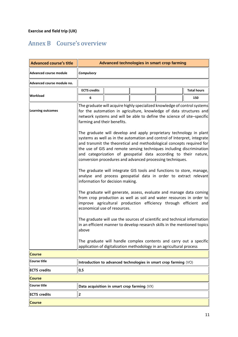# <span id="page-10-0"></span>Annex B Course's overview

| <b>Advanced course's title</b>                                                                                                                                  | Advanced technologies in smart crop farming                                                                                                                                                                                                                                                                                                                                                                                        |  |  |                                                                                                                                            |                    |
|-----------------------------------------------------------------------------------------------------------------------------------------------------------------|------------------------------------------------------------------------------------------------------------------------------------------------------------------------------------------------------------------------------------------------------------------------------------------------------------------------------------------------------------------------------------------------------------------------------------|--|--|--------------------------------------------------------------------------------------------------------------------------------------------|--------------------|
| <b>Advanced course module</b>                                                                                                                                   | <b>Compulsory</b>                                                                                                                                                                                                                                                                                                                                                                                                                  |  |  |                                                                                                                                            |                    |
| Advanced course module no.                                                                                                                                      |                                                                                                                                                                                                                                                                                                                                                                                                                                    |  |  |                                                                                                                                            |                    |
|                                                                                                                                                                 | <b>ECTS</b> credits                                                                                                                                                                                                                                                                                                                                                                                                                |  |  |                                                                                                                                            | <b>Total hours</b> |
| <b>Workload</b>                                                                                                                                                 | 6                                                                                                                                                                                                                                                                                                                                                                                                                                  |  |  |                                                                                                                                            | 150                |
| <b>Learning outcomes</b>                                                                                                                                        | The graduate will acquire highly specialized knowledge of control systems<br>for the automation in agriculture, knowledge of data structures and<br>network systems and will be able to define the science of site-specific<br>farming and their benefits.                                                                                                                                                                         |  |  |                                                                                                                                            |                    |
|                                                                                                                                                                 | The graduate will develop and apply proprietary technology in plant<br>systems as well as in the automation and control of Interpret, integrate<br>and transmit the theoretical and methodological concepts required for<br>the use of GIS and remote sensing techniques including discrimination<br>and categorization of geospatial data according to their nature,<br>conversion procedures and advanced processing techniques. |  |  |                                                                                                                                            |                    |
|                                                                                                                                                                 | The graduate will integrate GIS tools and functions to store, manage,<br>analyse and process geospatial data in order to extract relevant<br>information for decision making.<br>The graduate will generate, assess, evaluate and manage data coming<br>from crop production as well as soil and water resources in order to<br>improve agricultural production efficiency through efficient and<br>economical use of resources.   |  |  |                                                                                                                                            |                    |
|                                                                                                                                                                 |                                                                                                                                                                                                                                                                                                                                                                                                                                    |  |  |                                                                                                                                            |                    |
| The graduate will use the sources of scientific and technical information<br>in an efficient manner to develop research skills in the mentioned topics<br>above |                                                                                                                                                                                                                                                                                                                                                                                                                                    |  |  |                                                                                                                                            |                    |
|                                                                                                                                                                 |                                                                                                                                                                                                                                                                                                                                                                                                                                    |  |  | The graduate will handle complex contents and carry out a specific<br>application of digitalization methodology in an agricultural process |                    |
| <b>Course</b>                                                                                                                                                   |                                                                                                                                                                                                                                                                                                                                                                                                                                    |  |  |                                                                                                                                            |                    |
| <b>Course title</b>                                                                                                                                             | Introduction to advanced technologies in smart crop farming (VO)                                                                                                                                                                                                                                                                                                                                                                   |  |  |                                                                                                                                            |                    |
| <b>ECTS</b> credits                                                                                                                                             | 0,5                                                                                                                                                                                                                                                                                                                                                                                                                                |  |  |                                                                                                                                            |                    |
| <b>Course</b>                                                                                                                                                   |                                                                                                                                                                                                                                                                                                                                                                                                                                    |  |  |                                                                                                                                            |                    |
| <b>Course title</b>                                                                                                                                             | Data acquisition in smart crop farming (VX)                                                                                                                                                                                                                                                                                                                                                                                        |  |  |                                                                                                                                            |                    |
| <b>ECTS</b> credits                                                                                                                                             | $\overline{2}$                                                                                                                                                                                                                                                                                                                                                                                                                     |  |  |                                                                                                                                            |                    |
| <b>Course</b>                                                                                                                                                   |                                                                                                                                                                                                                                                                                                                                                                                                                                    |  |  |                                                                                                                                            |                    |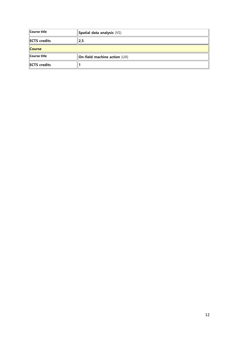| Course title         | Spatial data analysis (VS)   |  |
|----------------------|------------------------------|--|
| <b>IECTS</b> credits | 2,5                          |  |
| <b>Course</b>        |                              |  |
| Course title         | On-field machine action (UX) |  |
| <b>IECTS</b> credits |                              |  |